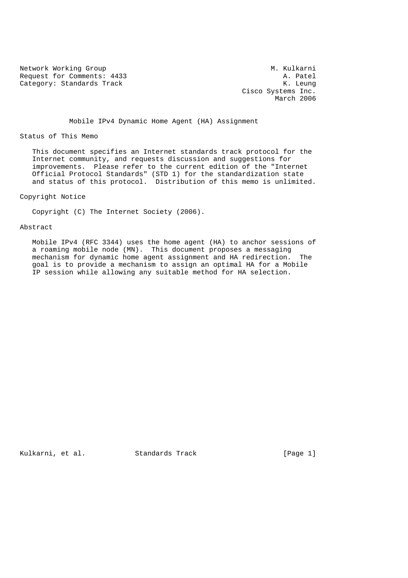Network Working Group<br>Request for Comments: 4433 A. Patel Request for Comments: 4433<br>Category: Standards Track and the comments of the category: Standards Track Category: Standards Track

 Cisco Systems Inc. March 2006

Mobile IPv4 Dynamic Home Agent (HA) Assignment

Status of This Memo

 This document specifies an Internet standards track protocol for the Internet community, and requests discussion and suggestions for improvements. Please refer to the current edition of the "Internet Official Protocol Standards" (STD 1) for the standardization state and status of this protocol. Distribution of this memo is unlimited.

Copyright Notice

Copyright (C) The Internet Society (2006).

Abstract

 Mobile IPv4 (RFC 3344) uses the home agent (HA) to anchor sessions of a roaming mobile node (MN). This document proposes a messaging mechanism for dynamic home agent assignment and HA redirection. The goal is to provide a mechanism to assign an optimal HA for a Mobile IP session while allowing any suitable method for HA selection.

Kulkarni, et al. Standards Track [Page 1]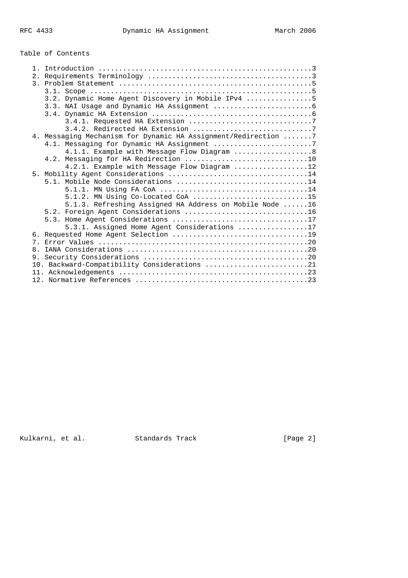# Table of Contents

| $\mathbf{1}$                                                   |
|----------------------------------------------------------------|
|                                                                |
|                                                                |
|                                                                |
| 3.2. Dynamic Home Agent Discovery in Mobile IPv4 5             |
|                                                                |
|                                                                |
|                                                                |
|                                                                |
| 4. Messaging Mechanism for Dynamic HA Assignment/Redirection 7 |
| 4.1. Messaging for Dynamic HA Assignment 7                     |
| 4.1.1. Example with Message Flow Diagram  8                    |
|                                                                |
| 4.2.1. Example with Message Flow Diagram 12                    |
|                                                                |
| 5.1. Mobile Node Considerations 14                             |
|                                                                |
|                                                                |
| 5.1.3. Refreshing Assigned HA Address on Mobile Node 16        |
|                                                                |
| 5.3. Home Agent Considerations 17                              |
| 5.3.1. Assigned Home Agent Considerations 17                   |
|                                                                |
|                                                                |
| 8.                                                             |
|                                                                |
| 10. Backward-Compatibility Considerations 21                   |
|                                                                |
|                                                                |

Kulkarni, et al. Standards Track [Page 2]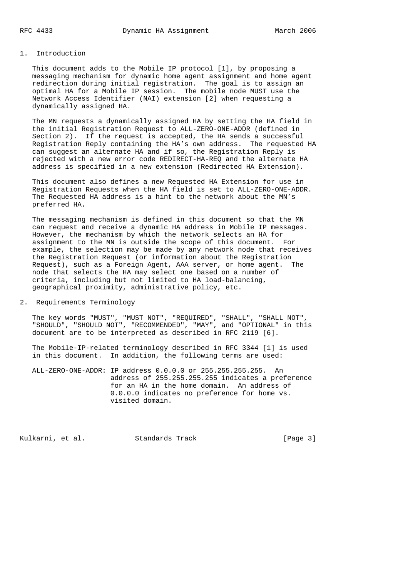# 1. Introduction

 This document adds to the Mobile IP protocol [1], by proposing a messaging mechanism for dynamic home agent assignment and home agent redirection during initial registration. The goal is to assign an optimal HA for a Mobile IP session. The mobile node MUST use the Network Access Identifier (NAI) extension [2] when requesting a dynamically assigned HA.

 The MN requests a dynamically assigned HA by setting the HA field in the initial Registration Request to ALL-ZERO-ONE-ADDR (defined in Section 2). If the request is accepted, the HA sends a successful Registration Reply containing the HA's own address. The requested HA can suggest an alternate HA and if so, the Registration Reply is rejected with a new error code REDIRECT-HA-REQ and the alternate HA address is specified in a new extension (Redirected HA Extension).

 This document also defines a new Requested HA Extension for use in Registration Requests when the HA field is set to ALL-ZERO-ONE-ADDR. The Requested HA address is a hint to the network about the MN's preferred HA.

 The messaging mechanism is defined in this document so that the MN can request and receive a dynamic HA address in Mobile IP messages. However, the mechanism by which the network selects an HA for assignment to the MN is outside the scope of this document. For example, the selection may be made by any network node that receives the Registration Request (or information about the Registration Request), such as a Foreign Agent, AAA server, or home agent. The node that selects the HA may select one based on a number of criteria, including but not limited to HA load-balancing, geographical proximity, administrative policy, etc.

2. Requirements Terminology

 The key words "MUST", "MUST NOT", "REQUIRED", "SHALL", "SHALL NOT", "SHOULD", "SHOULD NOT", "RECOMMENDED", "MAY", and "OPTIONAL" in this document are to be interpreted as described in RFC 2119 [6].

 The Mobile-IP-related terminology described in RFC 3344 [1] is used in this document. In addition, the following terms are used:

 ALL-ZERO-ONE-ADDR: IP address 0.0.0.0 or 255.255.255.255. An address of 255.255.255.255 indicates a preference for an HA in the home domain. An address of 0.0.0.0 indicates no preference for home vs. visited domain.

Kulkarni, et al. Standards Track [Page 3]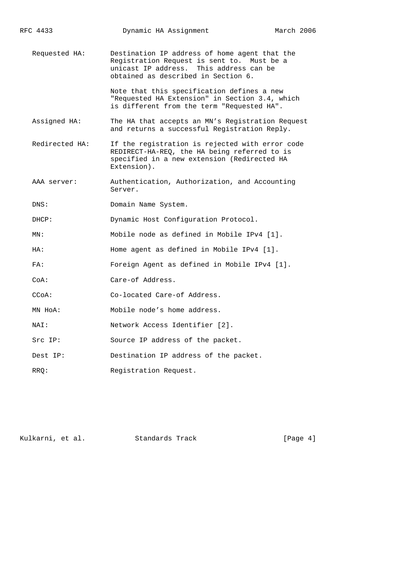| Requested HA: |                | Destination IP address of home agent that the<br>Registration Request is sent to. Must be a<br>unicast IP address. This address can be<br>obtained as described in Section 6. |  |  |
|---------------|----------------|-------------------------------------------------------------------------------------------------------------------------------------------------------------------------------|--|--|
|               |                | Note that this specification defines a new<br>"Requested HA Extension" in Section 3.4, which<br>is different from the term "Requested HA".                                    |  |  |
|               | Assigned HA:   | The HA that accepts an MN's Registration Request<br>and returns a successful Registration Reply.                                                                              |  |  |
|               | Redirected HA: | If the registration is rejected with error code<br>REDIRECT-HA-REQ, the HA being referred to is<br>specified in a new extension (Redirected HA<br>Extension).                 |  |  |
|               | AAA server:    | Authentication, Authorization, and Accounting<br>Server.                                                                                                                      |  |  |
|               | DNS:           | Domain Name System.                                                                                                                                                           |  |  |
|               | DHCP:          | Dynamic Host Configuration Protocol.                                                                                                                                          |  |  |
|               | MN:            | Mobile node as defined in Mobile IPv4 [1].                                                                                                                                    |  |  |
|               | HA:            | Home agent as defined in Mobile IPv4 [1].                                                                                                                                     |  |  |
|               | FA:            | Foreign Agent as defined in Mobile IPv4 [1].                                                                                                                                  |  |  |
|               | CoA:           | Care-of Address.                                                                                                                                                              |  |  |
|               | CCoA:          | Co-located Care-of Address.                                                                                                                                                   |  |  |
|               | MN HoA:        | Mobile node's home address.                                                                                                                                                   |  |  |
|               | NAI:           | Network Access Identifier [2].                                                                                                                                                |  |  |
|               | Src IP:        | Source IP address of the packet.                                                                                                                                              |  |  |
|               | Dest IP:       | Destination IP address of the packet.                                                                                                                                         |  |  |
|               | RRO:           | Registration Request.                                                                                                                                                         |  |  |

RFC 4433 **Dynamic HA Assignment** March 2006

Kulkarni, et al. Standards Track [Page 4]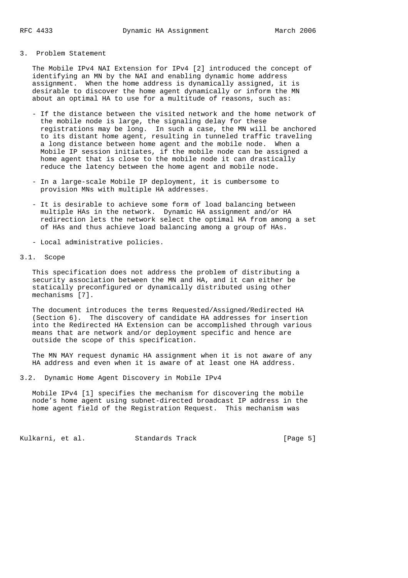#### 3. Problem Statement

 The Mobile IPv4 NAI Extension for IPv4 [2] introduced the concept of identifying an MN by the NAI and enabling dynamic home address assignment. When the home address is dynamically assigned, it is desirable to discover the home agent dynamically or inform the MN about an optimal HA to use for a multitude of reasons, such as:

- If the distance between the visited network and the home network of the mobile node is large, the signaling delay for these registrations may be long. In such a case, the MN will be anchored to its distant home agent, resulting in tunneled traffic traveling a long distance between home agent and the mobile node. When a Mobile IP session initiates, if the mobile node can be assigned a home agent that is close to the mobile node it can drastically reduce the latency between the home agent and mobile node.
- In a large-scale Mobile IP deployment, it is cumbersome to provision MNs with multiple HA addresses.
- It is desirable to achieve some form of load balancing between multiple HAs in the network. Dynamic HA assignment and/or HA redirection lets the network select the optimal HA from among a set of HAs and thus achieve load balancing among a group of HAs.
	- Local administrative policies.

# 3.1. Scope

 This specification does not address the problem of distributing a security association between the MN and HA, and it can either be statically preconfigured or dynamically distributed using other mechanisms [7].

 The document introduces the terms Requested/Assigned/Redirected HA (Section 6). The discovery of candidate HA addresses for insertion into the Redirected HA Extension can be accomplished through various means that are network and/or deployment specific and hence are outside the scope of this specification.

 The MN MAY request dynamic HA assignment when it is not aware of any HA address and even when it is aware of at least one HA address.

3.2. Dynamic Home Agent Discovery in Mobile IPv4

 Mobile IPv4 [1] specifies the mechanism for discovering the mobile node's home agent using subnet-directed broadcast IP address in the home agent field of the Registration Request. This mechanism was

Kulkarni, et al. Standards Track [Page 5]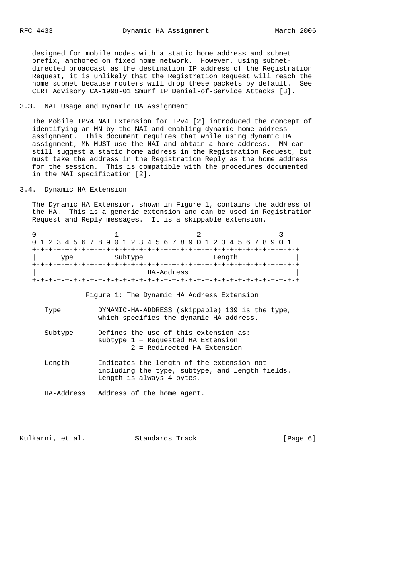designed for mobile nodes with a static home address and subnet prefix, anchored on fixed home network. However, using subnet directed broadcast as the destination IP address of the Registration Request, it is unlikely that the Registration Request will reach the home subnet because routers will drop these packets by default. See CERT Advisory CA-1998-01 Smurf IP Denial-of-Service Attacks [3].

# 3.3. NAI Usage and Dynamic HA Assignment

 The Mobile IPv4 NAI Extension for IPv4 [2] introduced the concept of identifying an MN by the NAI and enabling dynamic home address assignment. This document requires that while using dynamic HA assignment, MN MUST use the NAI and obtain a home address. MN can still suggest a static home address in the Registration Request, but must take the address in the Registration Reply as the home address for the session. This is compatible with the procedures documented in the NAI specification [2].

### 3.4. Dynamic HA Extension

 The Dynamic HA Extension, shown in Figure 1, contains the address of the HA. This is a generic extension and can be used in Registration Request and Reply messages. It is a skippable extension.

| 0                                          |                                                                                                            |  |  |  |  |
|--------------------------------------------|------------------------------------------------------------------------------------------------------------|--|--|--|--|
|                                            | 1 2 3 4 5 6 7 8 9 0 1 2 3 4 5 6 7 8 9 0 1 2 3 4 5 6 7 8 9 0 1                                              |  |  |  |  |
| Type                                       | Subtype<br>Length                                                                                          |  |  |  |  |
|                                            | HA-Address                                                                                                 |  |  |  |  |
|                                            |                                                                                                            |  |  |  |  |
| Figure 1: The Dynamic HA Address Extension |                                                                                                            |  |  |  |  |
| Type                                       | DYNAMIC-HA-ADDRESS (skippable) 139 is the type,<br>which specifies the dynamic HA address.                 |  |  |  |  |
| Subtype                                    | Defines the use of this extension as:<br>subtype 1 = Requested HA Extension<br>2 = Redirected HA Extension |  |  |  |  |
| Length                                     | Indicates the length of the extension not                                                                  |  |  |  |  |

 including the type, subtype, and length fields. Length is always 4 bytes.

HA-Address Address of the home agent.

Kulkarni, et al. Standards Track [Page 6]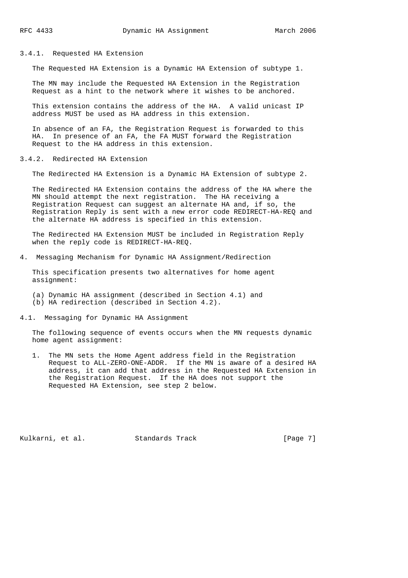### 3.4.1. Requested HA Extension

The Requested HA Extension is a Dynamic HA Extension of subtype 1.

 The MN may include the Requested HA Extension in the Registration Request as a hint to the network where it wishes to be anchored.

 This extension contains the address of the HA. A valid unicast IP address MUST be used as HA address in this extension.

 In absence of an FA, the Registration Request is forwarded to this HA. In presence of an FA, the FA MUST forward the Registration Request to the HA address in this extension.

### 3.4.2. Redirected HA Extension

The Redirected HA Extension is a Dynamic HA Extension of subtype 2.

 The Redirected HA Extension contains the address of the HA where the MN should attempt the next registration. The HA receiving a Registration Request can suggest an alternate HA and, if so, the Registration Reply is sent with a new error code REDIRECT-HA-REQ and the alternate HA address is specified in this extension.

 The Redirected HA Extension MUST be included in Registration Reply when the reply code is REDIRECT-HA-REQ.

4. Messaging Mechanism for Dynamic HA Assignment/Redirection

 This specification presents two alternatives for home agent assignment:

- (a) Dynamic HA assignment (described in Section 4.1) and (b) HA redirection (described in Section 4.2).
- 4.1. Messaging for Dynamic HA Assignment

 The following sequence of events occurs when the MN requests dynamic home agent assignment:

 1. The MN sets the Home Agent address field in the Registration Request to ALL-ZERO-ONE-ADDR. If the MN is aware of a desired HA address, it can add that address in the Requested HA Extension in the Registration Request. If the HA does not support the Requested HA Extension, see step 2 below.

Kulkarni, et al. Standards Track [Page 7]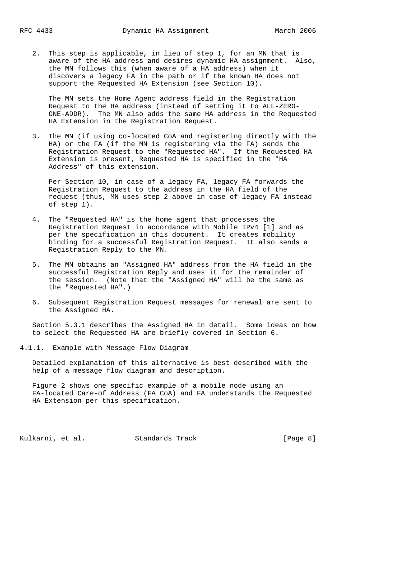2. This step is applicable, in lieu of step 1, for an MN that is aware of the HA address and desires dynamic HA assignment. Also, the MN follows this (when aware of a HA address) when it discovers a legacy FA in the path or if the known HA does not support the Requested HA Extension (see Section 10).

 The MN sets the Home Agent address field in the Registration Request to the HA address (instead of setting it to ALL-ZERO- ONE-ADDR). The MN also adds the same HA address in the Requested HA Extension in the Registration Request.

 3. The MN (if using co-located CoA and registering directly with the HA) or the FA (if the MN is registering via the FA) sends the Registration Request to the "Requested HA". If the Requested HA Extension is present, Requested HA is specified in the "HA Address" of this extension.

 Per Section 10, in case of a legacy FA, legacy FA forwards the Registration Request to the address in the HA field of the request (thus, MN uses step 2 above in case of legacy FA instead of step 1).

- 4. The "Requested HA" is the home agent that processes the Registration Request in accordance with Mobile IPv4 [1] and as per the specification in this document. It creates mobility binding for a successful Registration Request. It also sends a Registration Reply to the MN.
- 5. The MN obtains an "Assigned HA" address from the HA field in the successful Registration Reply and uses it for the remainder of the session. (Note that the "Assigned HA" will be the same as the "Requested HA".)
- 6. Subsequent Registration Request messages for renewal are sent to the Assigned HA.

 Section 5.3.1 describes the Assigned HA in detail. Some ideas on how to select the Requested HA are briefly covered in Section 6.

4.1.1. Example with Message Flow Diagram

 Detailed explanation of this alternative is best described with the help of a message flow diagram and description.

 Figure 2 shows one specific example of a mobile node using an FA-located Care-of Address (FA CoA) and FA understands the Requested HA Extension per this specification.

Kulkarni, et al. Standards Track [Page 8]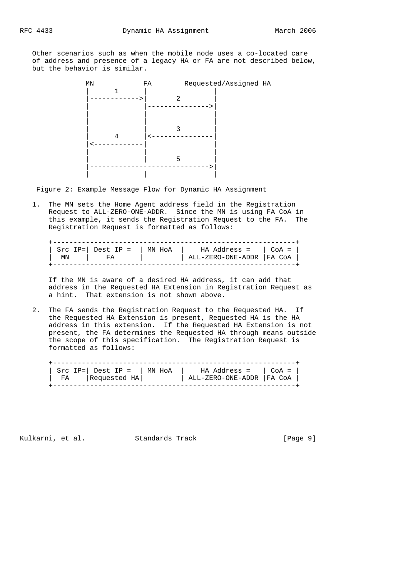Other scenarios such as when the mobile node uses a co-located care of address and presence of a legacy HA or FA are not described below, but the behavior is similar.

MN FA Requested/Assigned HA  $\begin{array}{c|cc}\n & \text{FA} & & \text{R} \\
 & & \mid & \\
\hline\n & - & & \n\end{array}$ -------->| 2 | |--------------->| | | | | | | | | 3 |  $\frac{1}{3}$   $\left| \frac{1}{5} \right|$  |<------------| | | | | | | 5 | |----------------------------->| | | |

Figure 2: Example Message Flow for Dynamic HA Assignment

 1. The MN sets the Home Agent address field in the Registration Request to ALL-ZERO-ONE-ADDR. Since the MN is using FA CoA in this example, it sends the Registration Request to the FA. The Registration Request is formatted as follows:

|    | Src $IP =  $ Dest $IP =  $ MN HoA | $\parallel$ HA Address = $\parallel$ CoA = $\parallel$ |  |
|----|-----------------------------------|--------------------------------------------------------|--|
| ΜN |                                   | ALL-ZERO-ONE-ADDR   FA COA                             |  |
|    |                                   |                                                        |  |

 If the MN is aware of a desired HA address, it can add that address in the Requested HA Extension in Registration Request as a hint. That extension is not shown above.

 2. The FA sends the Registration Request to the Requested HA. If the Requested HA Extension is present, Requested HA is the HA address in this extension. If the Requested HA Extension is not present, the FA determines the Requested HA through means outside the scope of this specification. The Registration Request is formatted as follows:

|      |              | Src IP=   Dest IP =   MN HoA   HA Address =   CoA = |  |
|------|--------------|-----------------------------------------------------|--|
| ' FA | Requested HA | ALL-ZERO-ONE-ADDR   FA COA                          |  |

Kulkarni, et al. Standards Track [Page 9]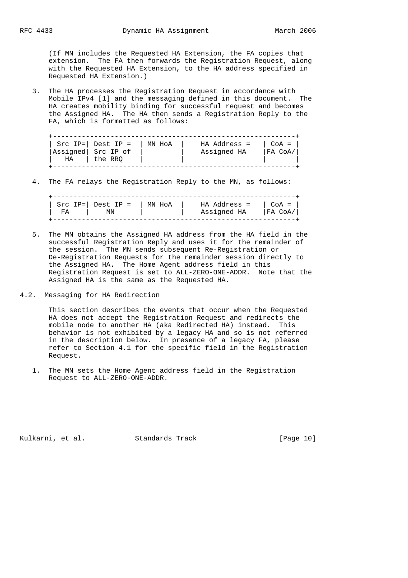(If MN includes the Requested HA Extension, the FA copies that extension. The FA then forwards the Registration Request, along with the Requested HA Extension, to the HA address specified in Requested HA Extension.)

 3. The HA processes the Registration Request in accordance with Mobile IPv4 [1] and the messaging defined in this document. The HA creates mobility binding for successful request and becomes the Assigned HA. The HA then sends a Registration Reply to the FA, which is formatted as follows:

|    | Src IP= $\vert$ Dest IP = | MN HOA | HA Address = | $CoA =$ |
|----|---------------------------|--------|--------------|---------|
|    | Assigned Src IP of        |        | Assigned HA  | FA CoA  |
| НA | the RRO                   |        |              |         |

4. The FA relays the Registration Reply to the MN, as follows:

|    | Src $IP =  $ Dest $IP =  $ MN HoA | HA Address =   CoA = |           |
|----|-----------------------------------|----------------------|-----------|
| FA | ΜN                                | Assigned HA          | IFA CoA/ı |
|    |                                   |                      |           |

- 5. The MN obtains the Assigned HA address from the HA field in the successful Registration Reply and uses it for the remainder of the session. The MN sends subsequent Re-Registration or De-Registration Requests for the remainder session directly to the Assigned HA. The Home Agent address field in this Registration Request is set to ALL-ZERO-ONE-ADDR. Note that the Assigned HA is the same as the Requested HA.
- 4.2. Messaging for HA Redirection

 This section describes the events that occur when the Requested HA does not accept the Registration Request and redirects the mobile node to another HA (aka Redirected HA) instead. This behavior is not exhibited by a legacy HA and so is not referred in the description below. In presence of a legacy FA, please refer to Section 4.1 for the specific field in the Registration Request.

 1. The MN sets the Home Agent address field in the Registration Request to ALL-ZERO-ONE-ADDR.

Kulkarni, et al. Standards Track [Page 10]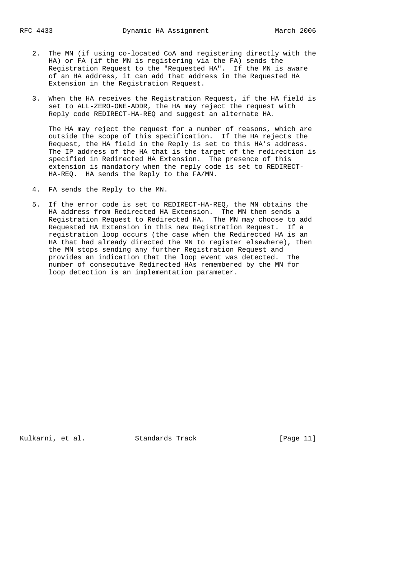- 2. The MN (if using co-located CoA and registering directly with the HA) or FA (if the MN is registering via the FA) sends the Registration Request to the "Requested HA". If the MN is aware of an HA address, it can add that address in the Requested HA Extension in the Registration Request.
- 3. When the HA receives the Registration Request, if the HA field is set to ALL-ZERO-ONE-ADDR, the HA may reject the request with Reply code REDIRECT-HA-REQ and suggest an alternate HA.

 The HA may reject the request for a number of reasons, which are outside the scope of this specification. If the HA rejects the Request, the HA field in the Reply is set to this HA's address. The IP address of the HA that is the target of the redirection is specified in Redirected HA Extension. The presence of this extension is mandatory when the reply code is set to REDIRECT- HA-REQ. HA sends the Reply to the FA/MN.

- 4. FA sends the Reply to the MN.
- 5. If the error code is set to REDIRECT-HA-REQ, the MN obtains the HA address from Redirected HA Extension. The MN then sends a Registration Request to Redirected HA. The MN may choose to add Requested HA Extension in this new Registration Request. If a registration loop occurs (the case when the Redirected HA is an HA that had already directed the MN to register elsewhere), then the MN stops sending any further Registration Request and provides an indication that the loop event was detected. The number of consecutive Redirected HAs remembered by the MN for loop detection is an implementation parameter.

Kulkarni, et al. Standards Track [Page 11]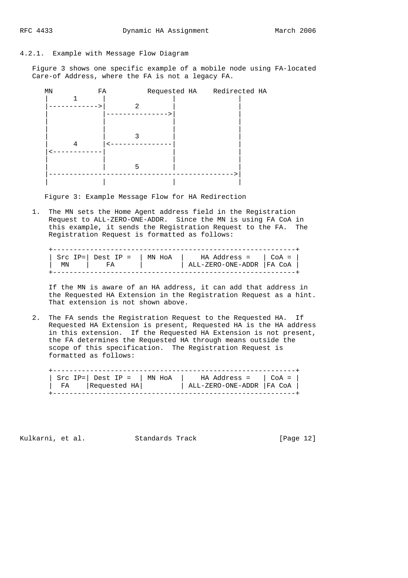### 4.2.1. Example with Message Flow Diagram

 Figure 3 shows one specific example of a mobile node using FA-located Care-of Address, where the FA is not a legacy FA.



Figure 3: Example Message Flow for HA Redirection

 1. The MN sets the Home Agent address field in the Registration Request to ALL-ZERO-ONE-ADDR. Since the MN is using FA CoA in this example, it sends the Registration Request to the FA. The Registration Request is formatted as follows:

|    |      | Src IP=   Dest IP =   MN HoA   HA Address =   CoA = $\sqrt{2}$ |  |
|----|------|----------------------------------------------------------------|--|
| ΜN | - FA | ALL-ZERO-ONE-ADDR   FA COA                                     |  |
|    |      |                                                                |  |

 If the MN is aware of an HA address, it can add that address in the Requested HA Extension in the Registration Request as a hint. That extension is not shown above.

 2. The FA sends the Registration Request to the Requested HA. If Requested HA Extension is present, Requested HA is the HA address in this extension. If the Requested HA Extension is not present, the FA determines the Requested HA through means outside the scope of this specification. The Registration Request is formatted as follows:

|    | Src IP= $\vert$ Dest IP = $\vert$ MN HoA | $\parallel$ HA Address = $\parallel$ CoA = $\parallel$ |  |
|----|------------------------------------------|--------------------------------------------------------|--|
| FA | Requested HA                             | ALL-ZERO-ONE-ADDR   FA CoA                             |  |

Kulkarni, et al. Standards Track [Page 12]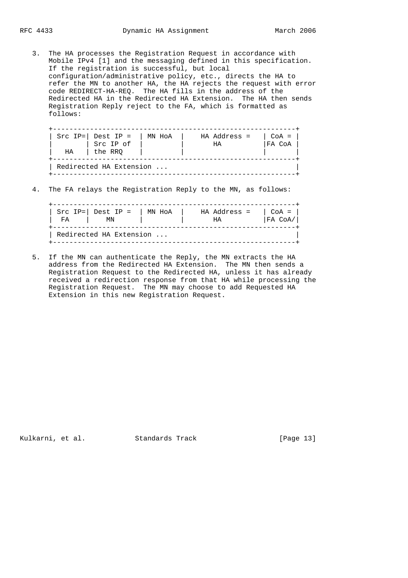3. The HA processes the Registration Request in accordance with Mobile IPv4 [1] and the messaging defined in this specification. If the registration is successful, but local configuration/administrative policy, etc., directs the HA to refer the MN to another HA, the HA rejects the request with error code REDIRECT-HA-REQ. The HA fills in the address of the Redirected HA in the Redirected HA Extension. The HA then sends Registration Reply reject to the FA, which is formatted as follows:

| Src IP= $\vert$ Dest IP =<br>Src IP of<br>FA CoA<br>НA<br>the RRQ<br>НA |
|-------------------------------------------------------------------------|
|-------------------------------------------------------------------------|

4. The FA relays the Registration Reply to the MN, as follows:

| FA                      | Src IP= $\vert$ Dest IP =<br>ΜN | MN HoA | HA Address =<br>НA | $CoA =  $<br>FA COA / |  |  |
|-------------------------|---------------------------------|--------|--------------------|-----------------------|--|--|
| Redirected HA Extension |                                 |        |                    |                       |  |  |

 5. If the MN can authenticate the Reply, the MN extracts the HA address from the Redirected HA Extension. The MN then sends a Registration Request to the Redirected HA, unless it has already received a redirection response from that HA while processing the Registration Request. The MN may choose to add Requested HA Extension in this new Registration Request.

Kulkarni, et al. Standards Track [Page 13]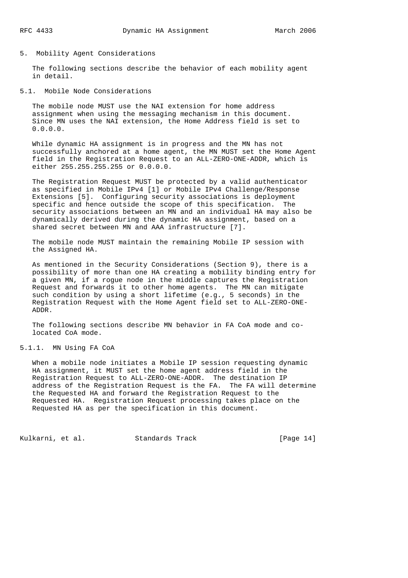### 5. Mobility Agent Considerations

 The following sections describe the behavior of each mobility agent in detail.

5.1. Mobile Node Considerations

 The mobile node MUST use the NAI extension for home address assignment when using the messaging mechanism in this document. Since MN uses the NAI extension, the Home Address field is set to 0.0.0.0.

 While dynamic HA assignment is in progress and the MN has not successfully anchored at a home agent, the MN MUST set the Home Agent field in the Registration Request to an ALL-ZERO-ONE-ADDR, which is either 255.255.255.255 or 0.0.0.0.

 The Registration Request MUST be protected by a valid authenticator as specified in Mobile IPv4 [1] or Mobile IPv4 Challenge/Response Extensions [5]. Configuring security associations is deployment specific and hence outside the scope of this specification. The security associations between an MN and an individual HA may also be dynamically derived during the dynamic HA assignment, based on a shared secret between MN and AAA infrastructure [7].

 The mobile node MUST maintain the remaining Mobile IP session with the Assigned HA.

 As mentioned in the Security Considerations (Section 9), there is a possibility of more than one HA creating a mobility binding entry for a given MN, if a rogue node in the middle captures the Registration Request and forwards it to other home agents. The MN can mitigate such condition by using a short lifetime (e.g., 5 seconds) in the Registration Request with the Home Agent field set to ALL-ZERO-ONE- ADDR.

 The following sections describe MN behavior in FA CoA mode and co located CoA mode.

# 5.1.1. MN Using FA CoA

 When a mobile node initiates a Mobile IP session requesting dynamic HA assignment, it MUST set the home agent address field in the Registration Request to ALL-ZERO-ONE-ADDR. The destination IP address of the Registration Request is the FA. The FA will determine the Requested HA and forward the Registration Request to the Requested HA. Registration Request processing takes place on the Requested HA as per the specification in this document.

Kulkarni, et al. Standards Track [Page 14]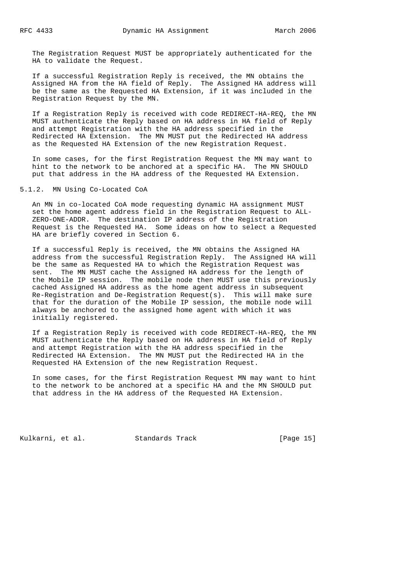The Registration Request MUST be appropriately authenticated for the HA to validate the Request.

 If a successful Registration Reply is received, the MN obtains the Assigned HA from the HA field of Reply. The Assigned HA address will be the same as the Requested HA Extension, if it was included in the Registration Request by the MN.

 If a Registration Reply is received with code REDIRECT-HA-REQ, the MN MUST authenticate the Reply based on HA address in HA field of Reply and attempt Registration with the HA address specified in the Redirected HA Extension. The MN MUST put the Redirected HA address as the Requested HA Extension of the new Registration Request.

 In some cases, for the first Registration Request the MN may want to hint to the network to be anchored at a specific HA. The MN SHOULD put that address in the HA address of the Requested HA Extension.

5.1.2. MN Using Co-Located CoA

 An MN in co-located CoA mode requesting dynamic HA assignment MUST set the home agent address field in the Registration Request to ALL- ZERO-ONE-ADDR. The destination IP address of the Registration Request is the Requested HA. Some ideas on how to select a Requested HA are briefly covered in Section 6.

 If a successful Reply is received, the MN obtains the Assigned HA address from the successful Registration Reply. The Assigned HA will be the same as Requested HA to which the Registration Request was sent. The MN MUST cache the Assigned HA address for the length of the Mobile IP session. The mobile node then MUST use this previously cached Assigned HA address as the home agent address in subsequent Re-Registration and De-Registration Request(s). This will make sure that for the duration of the Mobile IP session, the mobile node will always be anchored to the assigned home agent with which it was initially registered.

 If a Registration Reply is received with code REDIRECT-HA-REQ, the MN MUST authenticate the Reply based on HA address in HA field of Reply and attempt Registration with the HA address specified in the Redirected HA Extension. The MN MUST put the Redirected HA in the Requested HA Extension of the new Registration Request.

 In some cases, for the first Registration Request MN may want to hint to the network to be anchored at a specific HA and the MN SHOULD put that address in the HA address of the Requested HA Extension.

Kulkarni, et al. Standards Track [Page 15]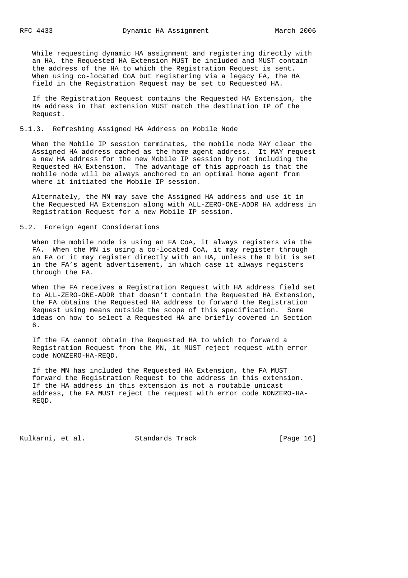While requesting dynamic HA assignment and registering directly with an HA, the Requested HA Extension MUST be included and MUST contain the address of the HA to which the Registration Request is sent. When using co-located CoA but registering via a legacy FA, the HA field in the Registration Request may be set to Requested HA.

 If the Registration Request contains the Requested HA Extension, the HA address in that extension MUST match the destination IP of the Request.

# 5.1.3. Refreshing Assigned HA Address on Mobile Node

 When the Mobile IP session terminates, the mobile node MAY clear the Assigned HA address cached as the home agent address. It MAY request a new HA address for the new Mobile IP session by not including the Requested HA Extension. The advantage of this approach is that the mobile node will be always anchored to an optimal home agent from where it initiated the Mobile IP session.

 Alternately, the MN may save the Assigned HA address and use it in the Requested HA Extension along with ALL-ZERO-ONE-ADDR HA address in Registration Request for a new Mobile IP session.

# 5.2. Foreign Agent Considerations

 When the mobile node is using an FA CoA, it always registers via the FA. When the MN is using a co-located CoA, it may register through an FA or it may register directly with an HA, unless the R bit is set in the FA's agent advertisement, in which case it always registers through the FA.

 When the FA receives a Registration Request with HA address field set to ALL-ZERO-ONE-ADDR that doesn't contain the Requested HA Extension, the FA obtains the Requested HA address to forward the Registration Request using means outside the scope of this specification. Some ideas on how to select a Requested HA are briefly covered in Section 6.

 If the FA cannot obtain the Requested HA to which to forward a Registration Request from the MN, it MUST reject request with error code NONZERO-HA-REQD.

 If the MN has included the Requested HA Extension, the FA MUST forward the Registration Request to the address in this extension. If the HA address in this extension is not a routable unicast address, the FA MUST reject the request with error code NONZERO-HA- REQD.

Kulkarni, et al. Standards Track [Page 16]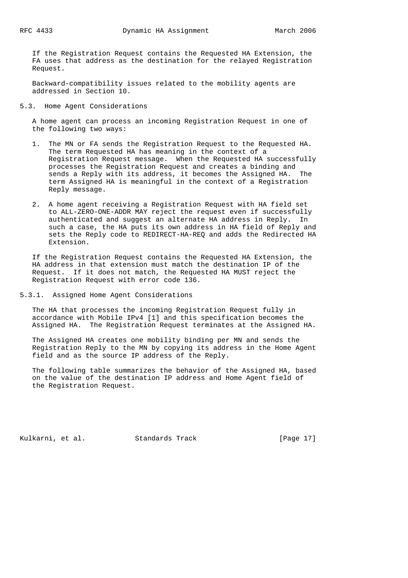If the Registration Request contains the Requested HA Extension, the FA uses that address as the destination for the relayed Registration Request.

 Backward-compatibility issues related to the mobility agents are addressed in Section 10.

5.3. Home Agent Considerations

 A home agent can process an incoming Registration Request in one of the following two ways:

- 1. The MN or FA sends the Registration Request to the Requested HA. The term Requested HA has meaning in the context of a Registration Request message. When the Requested HA successfully processes the Registration Request and creates a binding and sends a Reply with its address, it becomes the Assigned HA. The term Assigned HA is meaningful in the context of a Registration Reply message.
	- 2. A home agent receiving a Registration Request with HA field set to ALL-ZERO-ONE-ADDR MAY reject the request even if successfully authenticated and suggest an alternate HA address in Reply. In such a case, the HA puts its own address in HA field of Reply and sets the Reply code to REDIRECT-HA-REQ and adds the Redirected HA Extension.

 If the Registration Request contains the Requested HA Extension, the HA address in that extension must match the destination IP of the Request. If it does not match, the Requested HA MUST reject the Registration Request with error code 136.

5.3.1. Assigned Home Agent Considerations

 The HA that processes the incoming Registration Request fully in accordance with Mobile IPv4 [1] and this specification becomes the Assigned HA. The Registration Request terminates at the Assigned HA.

 The Assigned HA creates one mobility binding per MN and sends the Registration Reply to the MN by copying its address in the Home Agent field and as the source IP address of the Reply.

 The following table summarizes the behavior of the Assigned HA, based on the value of the destination IP address and Home Agent field of the Registration Request.

Kulkarni, et al. Standards Track [Page 17]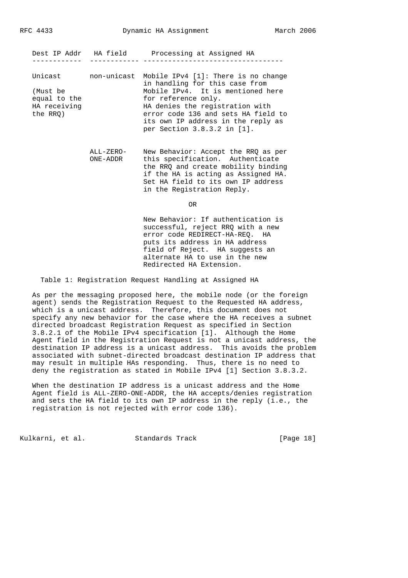|                                                                 |                       | Dest IP Addr HA field Processing at Assigned HA                                                                                                                                                                                                                                                   |
|-----------------------------------------------------------------|-----------------------|---------------------------------------------------------------------------------------------------------------------------------------------------------------------------------------------------------------------------------------------------------------------------------------------------|
| Unicast<br>(Must be<br>equal to the<br>HA receiving<br>the RRO) |                       | non-unicast Mobile IPv4 [1]: There is no change<br>in handling for this case from<br>Mobile IPv4. It is mentioned here<br>for reference only.<br>HA denies the registration with<br>error code 136 and sets HA field to<br>its own IP address in the reply as<br>per Section $3.8.3.2$ in $[1]$ . |
|                                                                 | ALL-ZERO-<br>ONE-ADDR | New Behavior: Accept the RRQ as per<br>this specification. Authenticate<br>the RRQ and create mobility binding<br>if the HA is acting as Assigned HA.<br>Set HA field to its own IP address<br>in the Registration Reply.                                                                         |
|                                                                 |                       | 0R                                                                                                                                                                                                                                                                                                |
|                                                                 |                       | New Behavior: If authentication is<br>successful, reject RRO with a new<br>error code REDIRECT-HA-REQ. HA<br>puts its address in HA address<br>field of Reject. HA suggests an<br>alternate HA to use in the new                                                                                  |

Table 1: Registration Request Handling at Assigned HA

 As per the messaging proposed here, the mobile node (or the foreign agent) sends the Registration Request to the Requested HA address, which is a unicast address. Therefore, this document does not specify any new behavior for the case where the HA receives a subnet directed broadcast Registration Request as specified in Section 3.8.2.1 of the Mobile IPv4 specification [1]. Although the Home Agent field in the Registration Request is not a unicast address, the destination IP address is a unicast address. This avoids the problem associated with subnet-directed broadcast destination IP address that may result in multiple HAs responding. Thus, there is no need to deny the registration as stated in Mobile IPv4 [1] Section 3.8.3.2.

Redirected HA Extension.

 When the destination IP address is a unicast address and the Home Agent field is ALL-ZERO-ONE-ADDR, the HA accepts/denies registration and sets the HA field to its own IP address in the reply (i.e., the registration is not rejected with error code 136).

Kulkarni, et al. Standards Track [Page 18]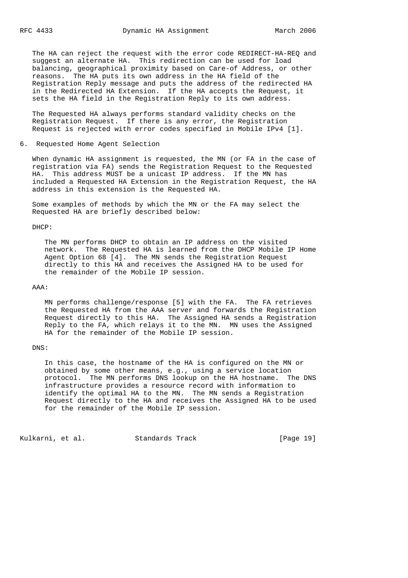The HA can reject the request with the error code REDIRECT-HA-REQ and suggest an alternate HA. This redirection can be used for load balancing, geographical proximity based on Care-of Address, or other reasons. The HA puts its own address in the HA field of the Registration Reply message and puts the address of the redirected HA in the Redirected HA Extension. If the HA accepts the Request, it sets the HA field in the Registration Reply to its own address.

 The Requested HA always performs standard validity checks on the Registration Request. If there is any error, the Registration Request is rejected with error codes specified in Mobile IPv4 [1].

#### 6. Requested Home Agent Selection

 When dynamic HA assignment is requested, the MN (or FA in the case of registration via FA) sends the Registration Request to the Requested HA. This address MUST be a unicast IP address. If the MN has included a Requested HA Extension in the Registration Request, the HA address in this extension is the Requested HA.

 Some examples of methods by which the MN or the FA may select the Requested HA are briefly described below:

#### DHCP:

 The MN performs DHCP to obtain an IP address on the visited network. The Requested HA is learned from the DHCP Mobile IP Home Agent Option 68 [4]. The MN sends the Registration Request directly to this HA and receives the Assigned HA to be used for the remainder of the Mobile IP session.

#### AAA:

 MN performs challenge/response [5] with the FA. The FA retrieves the Requested HA from the AAA server and forwards the Registration Request directly to this HA. The Assigned HA sends a Registration Reply to the FA, which relays it to the MN. MN uses the Assigned HA for the remainder of the Mobile IP session.

#### DNS:

 In this case, the hostname of the HA is configured on the MN or obtained by some other means, e.g., using a service location protocol. The MN performs DNS lookup on the HA hostname. The DNS infrastructure provides a resource record with information to identify the optimal HA to the MN. The MN sends a Registration Request directly to the HA and receives the Assigned HA to be used for the remainder of the Mobile IP session.

Kulkarni, et al. Standards Track [Page 19]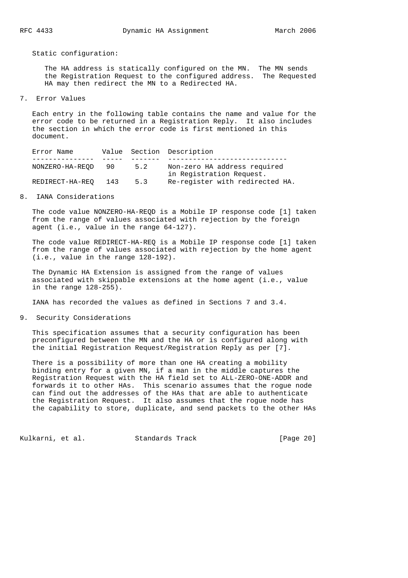Static configuration:

 The HA address is statically configured on the MN. The MN sends the Registration Request to the configured address. The Requested HA may then redirect the MN to a Redirected HA.

7. Error Values

 Each entry in the following table contains the name and value for the error code to be returned in a Registration Reply. It also includes the section in which the error code is first mentioned in this document.

| Error Name      |     |     | Value Section Description       |
|-----------------|-----|-----|---------------------------------|
|                 |     |     |                                 |
| NONZERO-HA-REOD | 90  | 5.2 | Non-zero HA address required    |
|                 |     |     | in Registration Request.        |
| REDIRECT-HA-REO | 143 | 5.3 | Re-register with redirected HA. |

8. IANA Considerations

 The code value NONZERO-HA-REQD is a Mobile IP response code [1] taken from the range of values associated with rejection by the foreign agent (i.e., value in the range 64-127).

 The code value REDIRECT-HA-REQ is a Mobile IP response code [1] taken from the range of values associated with rejection by the home agent (i.e., value in the range 128-192).

 The Dynamic HA Extension is assigned from the range of values associated with skippable extensions at the home agent (i.e., value in the range 128-255).

IANA has recorded the values as defined in Sections 7 and 3.4.

9. Security Considerations

 This specification assumes that a security configuration has been preconfigured between the MN and the HA or is configured along with the initial Registration Request/Registration Reply as per [7].

 There is a possibility of more than one HA creating a mobility binding entry for a given MN, if a man in the middle captures the Registration Request with the HA field set to ALL-ZERO-ONE-ADDR and forwards it to other HAs. This scenario assumes that the rogue node can find out the addresses of the HAs that are able to authenticate the Registration Request. It also assumes that the rogue node has the capability to store, duplicate, and send packets to the other HAs

Kulkarni, et al. Standards Track [Page 20]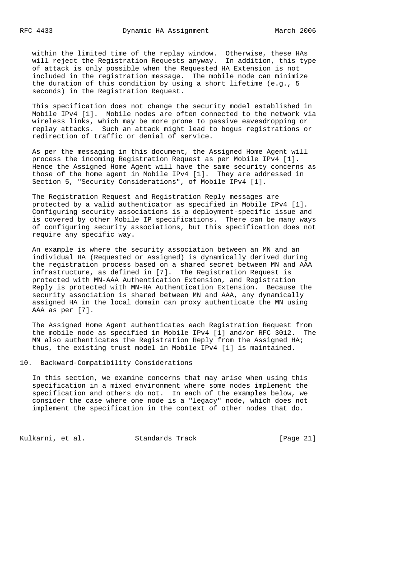within the limited time of the replay window. Otherwise, these HAs will reject the Registration Requests anyway. In addition, this type of attack is only possible when the Requested HA Extension is not included in the registration message. The mobile node can minimize the duration of this condition by using a short lifetime (e.g., 5 seconds) in the Registration Request.

 This specification does not change the security model established in Mobile IPv4 [1]. Mobile nodes are often connected to the network via wireless links, which may be more prone to passive eavesdropping or replay attacks. Such an attack might lead to bogus registrations or redirection of traffic or denial of service.

 As per the messaging in this document, the Assigned Home Agent will process the incoming Registration Request as per Mobile IPv4 [1]. Hence the Assigned Home Agent will have the same security concerns as those of the home agent in Mobile IPv4 [1]. They are addressed in Section 5, "Security Considerations", of Mobile IPv4 [1].

 The Registration Request and Registration Reply messages are protected by a valid authenticator as specified in Mobile IPv4 [1]. Configuring security associations is a deployment-specific issue and is covered by other Mobile IP specifications. There can be many ways of configuring security associations, but this specification does not require any specific way.

 An example is where the security association between an MN and an individual HA (Requested or Assigned) is dynamically derived during the registration process based on a shared secret between MN and AAA infrastructure, as defined in [7]. The Registration Request is protected with MN-AAA Authentication Extension, and Registration Reply is protected with MN-HA Authentication Extension. Because the security association is shared between MN and AAA, any dynamically assigned HA in the local domain can proxy authenticate the MN using AAA as per [7].

 The Assigned Home Agent authenticates each Registration Request from the mobile node as specified in Mobile IPv4 [1] and/or RFC 3012. The MN also authenticates the Registration Reply from the Assigned HA; thus, the existing trust model in Mobile IPv4 [1] is maintained.

# 10. Backward-Compatibility Considerations

 In this section, we examine concerns that may arise when using this specification in a mixed environment where some nodes implement the specification and others do not. In each of the examples below, we consider the case where one node is a "legacy" node, which does not implement the specification in the context of other nodes that do.

Kulkarni, et al. Standards Track [Page 21]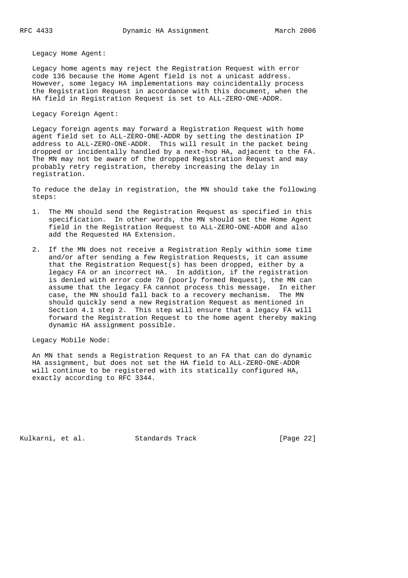Legacy Home Agent:

 Legacy home agents may reject the Registration Request with error code 136 because the Home Agent field is not a unicast address. However, some legacy HA implementations may coincidentally process the Registration Request in accordance with this document, when the HA field in Registration Request is set to ALL-ZERO-ONE-ADDR.

Legacy Foreign Agent:

 Legacy foreign agents may forward a Registration Request with home agent field set to ALL-ZERO-ONE-ADDR by setting the destination IP address to ALL-ZERO-ONE-ADDR. This will result in the packet being dropped or incidentally handled by a next-hop HA, adjacent to the FA. The MN may not be aware of the dropped Registration Request and may probably retry registration, thereby increasing the delay in registration.

 To reduce the delay in registration, the MN should take the following steps:

- 1. The MN should send the Registration Request as specified in this specification. In other words, the MN should set the Home Agent field in the Registration Request to ALL-ZERO-ONE-ADDR and also add the Requested HA Extension.
- 2. If the MN does not receive a Registration Reply within some time and/or after sending a few Registration Requests, it can assume that the Registration Request(s) has been dropped, either by a legacy FA or an incorrect HA. In addition, if the registration is denied with error code 70 (poorly formed Request), the MN can assume that the legacy FA cannot process this message. In either case, the MN should fall back to a recovery mechanism. The MN should quickly send a new Registration Request as mentioned in Section 4.1 step 2. This step will ensure that a legacy FA will forward the Registration Request to the home agent thereby making dynamic HA assignment possible.

Legacy Mobile Node:

 An MN that sends a Registration Request to an FA that can do dynamic HA assignment, but does not set the HA field to ALL-ZERO-ONE-ADDR will continue to be registered with its statically configured HA, exactly according to RFC 3344.

Kulkarni, et al. Standards Track [Page 22]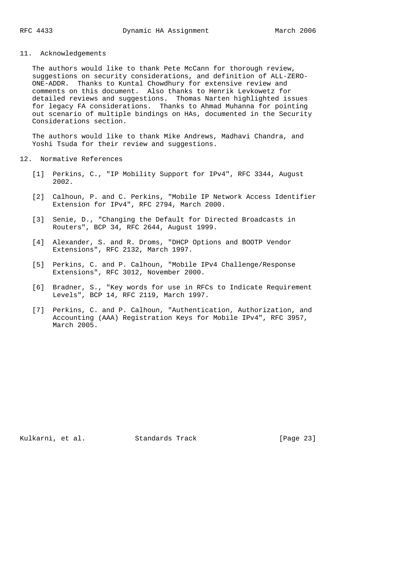# 11. Acknowledgements

 The authors would like to thank Pete McCann for thorough review, suggestions on security considerations, and definition of ALL-ZERO- ONE-ADDR. Thanks to Kuntal Chowdhury for extensive review and comments on this document. Also thanks to Henrik Levkowetz for detailed reviews and suggestions. Thomas Narten highlighted issues for legacy FA considerations. Thanks to Ahmad Muhanna for pointing out scenario of multiple bindings on HAs, documented in the Security Considerations section.

 The authors would like to thank Mike Andrews, Madhavi Chandra, and Yoshi Tsuda for their review and suggestions.

### 12. Normative References

- [1] Perkins, C., "IP Mobility Support for IPv4", RFC 3344, August 2002.
- [2] Calhoun, P. and C. Perkins, "Mobile IP Network Access Identifier Extension for IPv4", RFC 2794, March 2000.
- [3] Senie, D., "Changing the Default for Directed Broadcasts in Routers", BCP 34, RFC 2644, August 1999.
- [4] Alexander, S. and R. Droms, "DHCP Options and BOOTP Vendor Extensions", RFC 2132, March 1997.
- [5] Perkins, C. and P. Calhoun, "Mobile IPv4 Challenge/Response Extensions", RFC 3012, November 2000.
- [6] Bradner, S., "Key words for use in RFCs to Indicate Requirement Levels", BCP 14, RFC 2119, March 1997.
- [7] Perkins, C. and P. Calhoun, "Authentication, Authorization, and Accounting (AAA) Registration Keys for Mobile IPv4", RFC 3957, March 2005.

Kulkarni, et al. Standards Track [Page 23]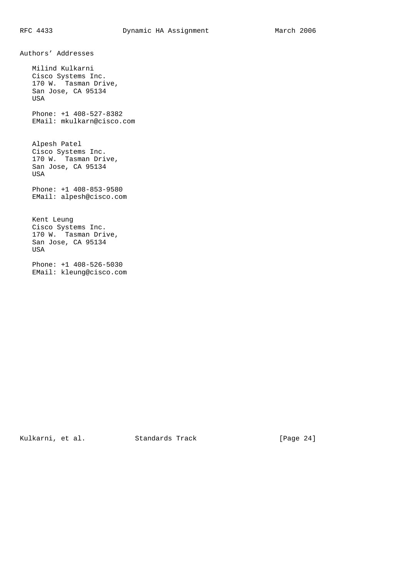Authors' Addresses

 Milind Kulkarni Cisco Systems Inc. 170 W. Tasman Drive, San Jose, CA 95134 USA Phone: +1 408-527-8382 EMail: mkulkarn@cisco.com Alpesh Patel Cisco Systems Inc. 170 W. Tasman Drive, San Jose, CA 95134 USA Phone: +1 408-853-9580 EMail: alpesh@cisco.com Kent Leung Cisco Systems Inc. 170 W. Tasman Drive, San Jose, CA 95134 USA Phone: +1 408-526-5030 EMail: kleung@cisco.com

Kulkarni, et al. Standards Track [Page 24]